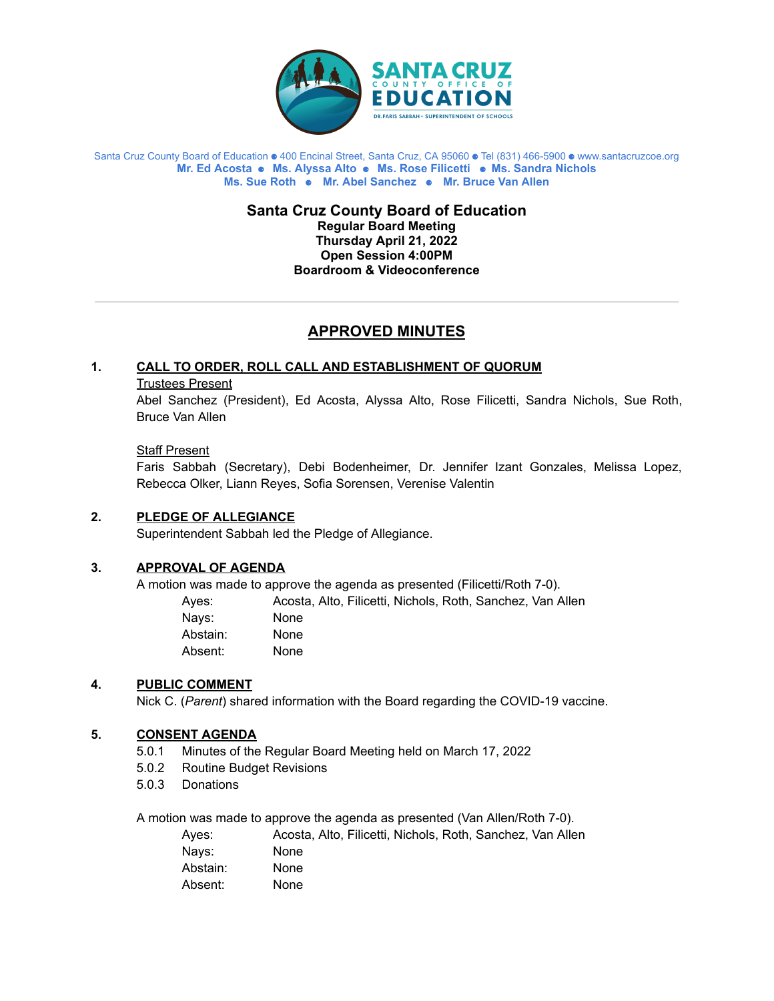

#### Santa Cruz County Board of Education ⚈ 400 Encinal Street, Santa Cruz, CA 95060 ⚈ Tel (831) 466-5900 ⚈ www.santacruzcoe.org **Mr. Ed Acosta** ⚈ **Ms. Alyssa Alto** ⚈ **Ms. Rose Filicetti** ⚈ **Ms. Sandra Nichols Ms. Sue Roth** ⚈ **Mr. Abel Sanchez** ⚈ **Mr. Bruce Van Allen**

**Santa Cruz County Board of Education Regular Board Meeting Thursday April 21, 2022 Open Session 4:00PM Boardroom & Videoconference**

# **APPROVED MINUTES**

# **1. CALL TO ORDER, ROLL CALL AND ESTABLISHMENT OF QUORUM**

### Trustees Present

Abel Sanchez (President), Ed Acosta, Alyssa Alto, Rose Filicetti, Sandra Nichols, Sue Roth, Bruce Van Allen

## Staff Present

Faris Sabbah (Secretary), Debi Bodenheimer, Dr. Jennifer Izant Gonzales, Melissa Lopez, Rebecca Olker, Liann Reyes, Sofia Sorensen, Verenise Valentin

## **2. PLEDGE OF ALLEGIANCE**

Superintendent Sabbah led the Pledge of Allegiance.

# **3. APPROVAL OF AGENDA**

A motion was made to approve the agenda as presented (Filicetti/Roth 7-0).

| Aves:    | Acosta, Alto, Filicetti, Nichols, Roth, Sanchez, Van Allen |
|----------|------------------------------------------------------------|
| Navs:    | <b>None</b>                                                |
| Abstain: | <b>None</b>                                                |
| Absent:  | <b>None</b>                                                |
|          |                                                            |

## **4. PUBLIC COMMENT**

Nick C. (*Parent*) shared information with the Board regarding the COVID-19 vaccine.

## **5. CONSENT AGENDA**

- 5.0.1 Minutes of the Regular Board Meeting held on March 17, 2022
- 5.0.2 Routine Budget Revisions
- 5.0.3 Donations

A motion was made to approve the agenda as presented (Van Allen/Roth 7-0).

| Aves:    | Acosta, Alto, Filicetti, Nichols, Roth, Sanchez, Van Allen |
|----------|------------------------------------------------------------|
| Navs:    | <b>None</b>                                                |
| Abstain: | <b>None</b>                                                |
| Absent:  | None                                                       |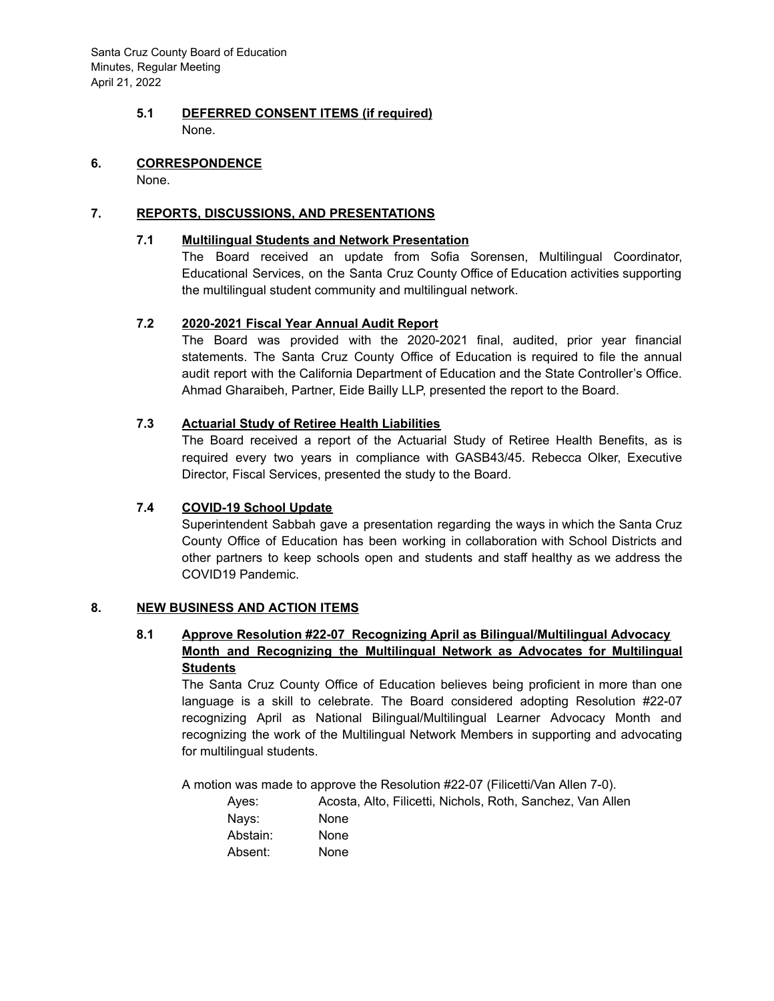Santa Cruz County Board of Education Minutes, Regular Meeting April 21, 2022

## **5.1 DEFERRED CONSENT ITEMS (if required)** None.

#### **6. CORRESPONDENCE**

None.

## **7. REPORTS, DISCUSSIONS, AND PRESENTATIONS**

### **7.1 Multilingual Students and Network Presentation**

The Board received an update from Sofia Sorensen, Multilingual Coordinator, Educational Services, on the Santa Cruz County Office of Education activities supporting the multilingual student community and multilingual network.

## **7.2 2020-2021 Fiscal Year Annual Audit Report**

The Board was provided with the 2020-2021 final, audited, prior year financial statements. The Santa Cruz County Office of Education is required to file the annual audit report with the California Department of Education and the State Controller's Office. Ahmad Gharaibeh, Partner, Eide Bailly LLP, presented the report to the Board.

## **7.3 Actuarial Study of Retiree Health Liabilities**

The Board received a report of the Actuarial Study of Retiree Health Benefits, as is required every two years in compliance with GASB43/45. Rebecca Olker, Executive Director, Fiscal Services, presented the study to the Board.

## **7.4 COVID-19 School Update**

Superintendent Sabbah gave a presentation regarding the ways in which the Santa Cruz County Office of Education has been working in collaboration with School Districts and other partners to keep schools open and students and staff healthy as we address the COVID19 Pandemic.

## **8. NEW BUSINESS AND ACTION ITEMS**

# **8.1 Approve Resolution #22-07 Recognizing April as Bilingual/Multilingual Advocacy Month and Recognizing the Multilingual Network as Advocates for Multilingual Students**

The Santa Cruz County Office of Education believes being proficient in more than one language is a skill to celebrate. The Board considered adopting Resolution #22-07 recognizing April as National Bilingual/Multilingual Learner Advocacy Month and recognizing the work of the Multilingual Network Members in supporting and advocating for multilingual students.

A motion was made to approve the Resolution #22-07 (Filicetti/Van Allen 7-0).

| Aves:    | Acosta, Alto, Filicetti, Nichols, Roth, Sanchez, Van Allen |
|----------|------------------------------------------------------------|
| Navs:    | <b>None</b>                                                |
| Abstain: | <b>None</b>                                                |
| Absent:  | None                                                       |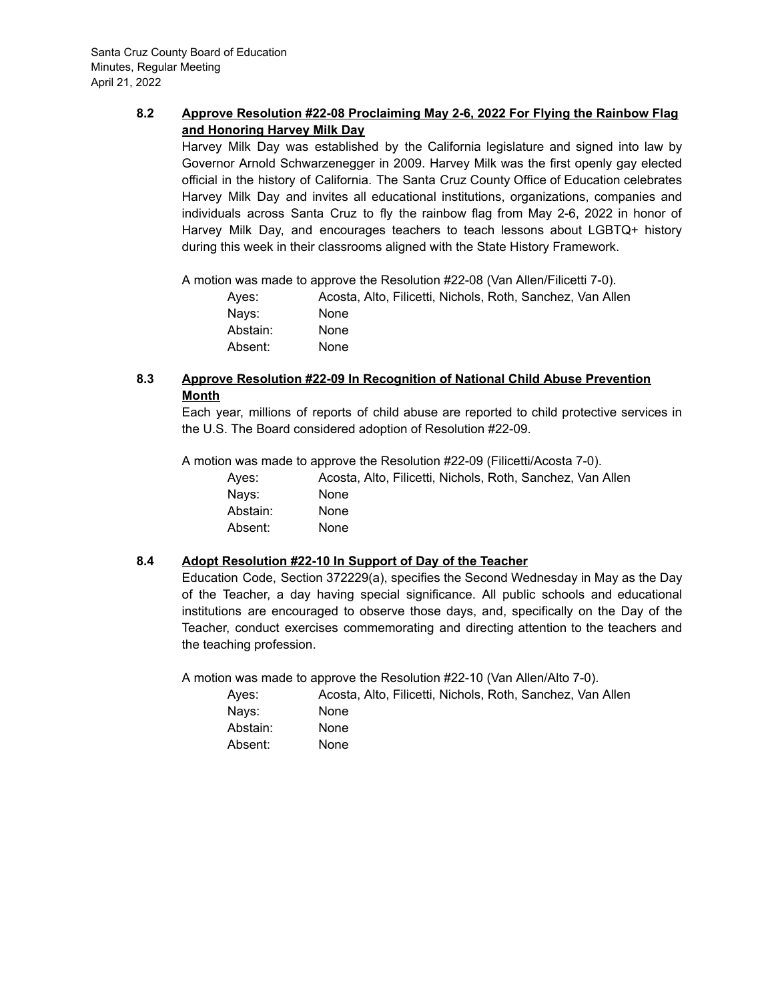# **8.2 Approve Resolution #22-08 Proclaiming May 2-6, 2022 For Flying the Rainbow Flag and Honoring Harvey Milk Day**

Harvey Milk Day was established by the California legislature and signed into law by Governor Arnold Schwarzenegger in 2009. Harvey Milk was the first openly gay elected official in the history of California. The Santa Cruz County Office of Education celebrates Harvey Milk Day and invites all educational institutions, organizations, companies and individuals across Santa Cruz to fly the rainbow flag from May 2-6, 2022 in honor of Harvey Milk Day, and encourages teachers to teach lessons about LGBTQ+ history during this week in their classrooms aligned with the State History Framework.

A motion was made to approve the Resolution #22-08 (Van Allen/Filicetti 7-0).

| Aves:    | Acosta, Alto, Filicetti, Nichols, Roth, Sanchez, Van Allen |
|----------|------------------------------------------------------------|
| Navs:    | None                                                       |
| Abstain: | <b>None</b>                                                |
| Absent:  | None                                                       |

# **8.3 Approve Resolution #22-09 In Recognition of National Child Abuse Prevention Month**

Each year, millions of reports of child abuse are reported to child protective services in the U.S. The Board considered adoption of Resolution #22-09.

A motion was made to approve the Resolution #22-09 (Filicetti/Acosta 7-0).

| Aves:    | Acosta, Alto, Filicetti, Nichols, Roth, Sanchez, Van Allen |
|----------|------------------------------------------------------------|
| Navs:    | <b>None</b>                                                |
| Abstain: | <b>None</b>                                                |
| Absent:  | None                                                       |

# **8.4 Adopt Resolution #22-10 In Support of Day of the Teacher**

Education Code, Section 372229(a), specifies the Second Wednesday in May as the Day of the Teacher, a day having special significance. All public schools and educational institutions are encouraged to observe those days, and, specifically on the Day of the Teacher, conduct exercises commemorating and directing attention to the teachers and the teaching profession.

A motion was made to approve the Resolution #22-10 (Van Allen/Alto 7-0).

| Ayes:    | Acosta, Alto, Filicetti, Nichols, Roth, Sanchez, Van Allen |
|----------|------------------------------------------------------------|
| Navs:    | <b>None</b>                                                |
| Abstain: | <b>None</b>                                                |
| Absent:  | <b>None</b>                                                |
|          |                                                            |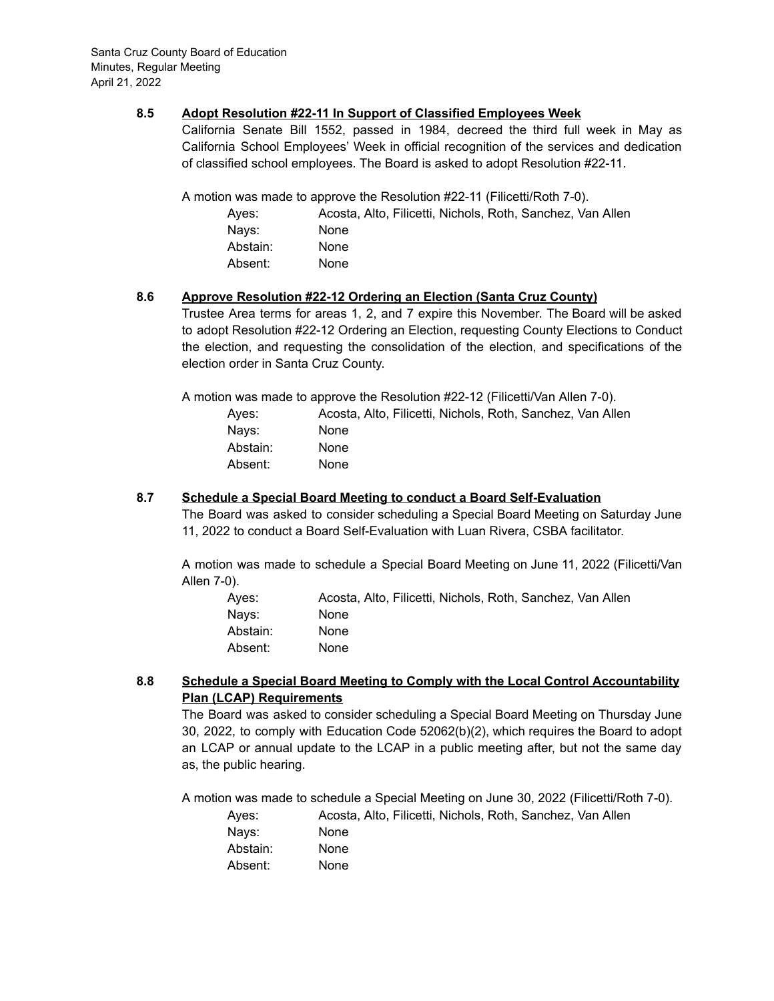### **8.5 Adopt Resolution #22-11 In Support of Classified Employees Week**

California Senate Bill 1552, passed in 1984, decreed the third full week in May as California School Employees' Week in official recognition of the services and dedication of classified school employees. The Board is asked to adopt Resolution #22-11.

A motion was made to approve the Resolution #22-11 (Filicetti/Roth 7-0).

| Aves:    | Acosta, Alto, Filicetti, Nichols, Roth, Sanchez, Van Allen |
|----------|------------------------------------------------------------|
| Navs:    | <b>None</b>                                                |
| Abstain: | <b>None</b>                                                |
| Absent:  | <b>None</b>                                                |

## **8.6 Approve Resolution #22-12 Ordering an Election (Santa Cruz County)**

Trustee Area terms for areas 1, 2, and 7 expire this November. The Board will be asked to adopt Resolution #22-12 Ordering an Election, requesting County Elections to Conduct the election, and requesting the consolidation of the election, and specifications of the election order in Santa Cruz County.

A motion was made to approve the Resolution #22-12 (Filicetti/Van Allen 7-0).

| Aves:    | Acosta, Alto, Filicetti, Nichols, Roth, Sanchez, Van Allen |
|----------|------------------------------------------------------------|
| Navs:    | <b>None</b>                                                |
| Abstain: | <b>None</b>                                                |
| Absent:  | None                                                       |

### **8.7 Schedule a Special Board Meeting to conduct a Board Self-Evaluation**

The Board was asked to consider scheduling a Special Board Meeting on Saturday June 11, 2022 to conduct a Board Self-Evaluation with Luan Rivera, CSBA facilitator.

A motion was made to schedule a Special Board Meeting on June 11, 2022 (Filicetti/Van Allen 7-0).

| Aves:    | Acosta, Alto, Filicetti, Nichols, Roth, Sanchez, Van Allen |
|----------|------------------------------------------------------------|
| Navs:    | <b>None</b>                                                |
| Abstain: | <b>None</b>                                                |
| Absent:  | None                                                       |

## **8.8 Schedule a Special Board Meeting to Comply with the Local Control Accountability Plan (LCAP) Requirements**

The Board was asked to consider scheduling a Special Board Meeting on Thursday June 30, 2022, to comply with Education Code 52062(b)(2), which requires the Board to adopt an LCAP or annual update to the LCAP in a public meeting after, but not the same day as, the public hearing.

A motion was made to schedule a Special Meeting on June 30, 2022 (Filicetti/Roth 7-0).

| Aves:    | Acosta, Alto, Filicetti, Nichols, Roth, Sanchez, Van Allen |
|----------|------------------------------------------------------------|
| Navs:    | None                                                       |
| Abstain: | <b>None</b>                                                |
| Absent:  | None                                                       |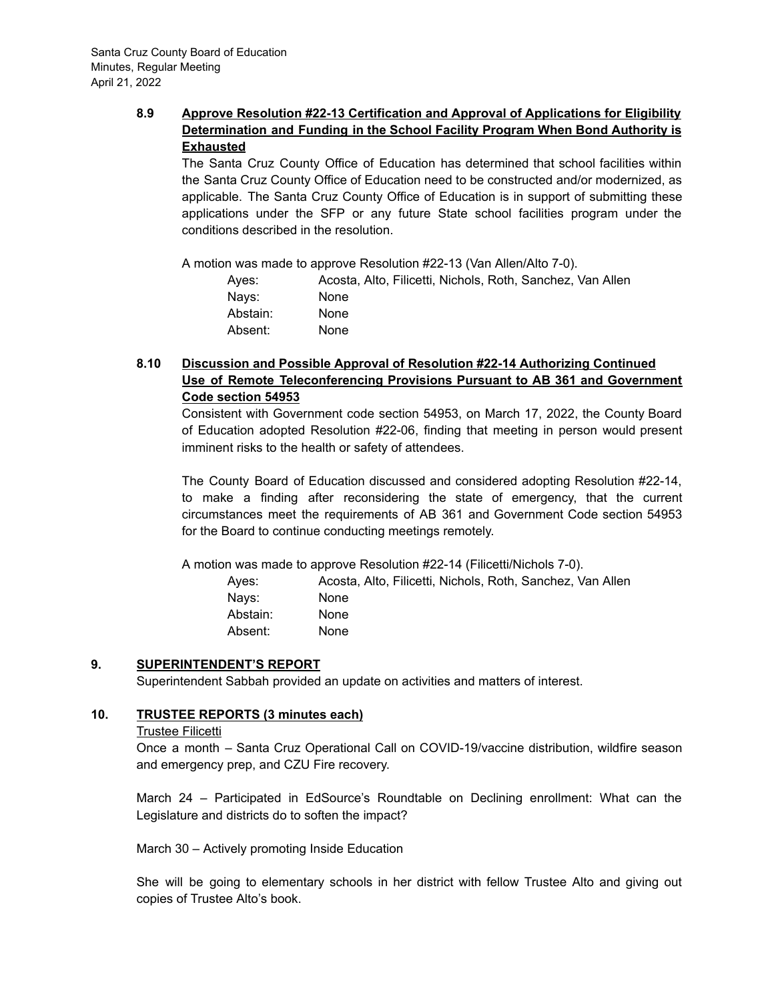# **8.9 Approve Resolution #22-13 Certification and Approval of Applications for Eligibility Determination and Funding in the School Facility Program When Bond Authority is Exhausted**

The Santa Cruz County Office of Education has determined that school facilities within the Santa Cruz County Office of Education need to be constructed and/or modernized, as applicable. The Santa Cruz County Office of Education is in support of submitting these applications under the SFP or any future State school facilities program under the conditions described in the resolution.

A motion was made to approve Resolution #22-13 (Van Allen/Alto 7-0).

| Aves:    | Acosta, Alto, Filicetti, Nichols, Roth, Sanchez, Van Allen |
|----------|------------------------------------------------------------|
| Navs:    | <b>None</b>                                                |
| Abstain: | <b>None</b>                                                |
| Absent:  | None                                                       |

# **8.10 Discussion and Possible Approval of Resolution #22-14 Authorizing Continued Use of Remote Teleconferencing Provisions Pursuant to AB 361 and Government Code section 54953**

Consistent with Government code section 54953, on March 17, 2022, the County Board of Education adopted Resolution #22-06, finding that meeting in person would present imminent risks to the health or safety of attendees.

The County Board of Education discussed and considered adopting Resolution #22-14, to make a finding after reconsidering the state of emergency, that the current circumstances meet the requirements of AB 361 and Government Code section 54953 for the Board to continue conducting meetings remotely.

A motion was made to approve Resolution #22-14 (Filicetti/Nichols 7-0).

Ayes: Acosta, Alto, Filicetti, Nichols, Roth, Sanchez, Van Allen Nays: None Abstain: None Absent: None

# **9. SUPERINTENDENT'S REPORT**

Superintendent Sabbah provided an update on activities and matters of interest.

## **10. TRUSTEE REPORTS (3 minutes each)**

#### Trustee Filicetti

Once a month – Santa Cruz Operational Call on COVID-19/vaccine distribution, wildfire season and emergency prep, and CZU Fire recovery.

March 24 – Participated in EdSource's Roundtable on Declining enrollment: What can the Legislature and districts do to soften the impact?

March 30 – Actively promoting Inside Education

She will be going to elementary schools in her district with fellow Trustee Alto and giving out copies of Trustee Alto's book.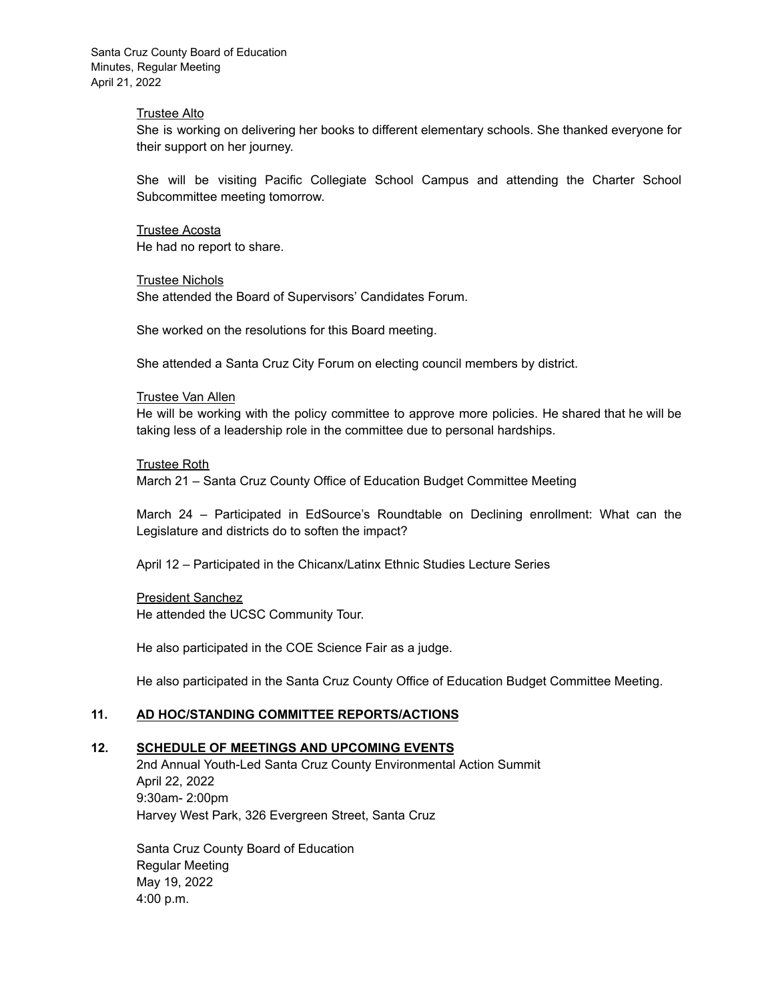Santa Cruz County Board of Education Minutes, Regular Meeting April 21, 2022

#### Trustee Alto

She is working on delivering her books to different elementary schools. She thanked everyone for their support on her journey.

She will be visiting Pacific Collegiate School Campus and attending the Charter School Subcommittee meeting tomorrow.

Trustee Acosta He had no report to share.

Trustee Nichols She attended the Board of Supervisors' Candidates Forum.

She worked on the resolutions for this Board meeting.

She attended a Santa Cruz City Forum on electing council members by district.

#### Trustee Van Allen

He will be working with the policy committee to approve more policies. He shared that he will be taking less of a leadership role in the committee due to personal hardships.

#### Trustee Roth

March 21 – Santa Cruz County Office of Education Budget Committee Meeting

March 24 – Participated in EdSource's Roundtable on Declining enrollment: What can the Legislature and districts do to soften the impact?

April 12 – Participated in the Chicanx/Latinx Ethnic Studies Lecture Series

#### President Sanchez

He attended the UCSC Community Tour.

He also participated in the COE Science Fair as a judge.

He also participated in the Santa Cruz County Office of Education Budget Committee Meeting.

### **11. AD HOC/STANDING COMMITTEE REPORTS/ACTIONS**

#### **12. SCHEDULE OF MEETINGS AND UPCOMING EVENTS**

2nd Annual Youth-Led Santa Cruz County Environmental Action Summit April 22, 2022 9:30am- 2:00pm Harvey West Park, 326 Evergreen Street, Santa Cruz

Santa Cruz County Board of Education Regular Meeting May 19, 2022 4:00 p.m.